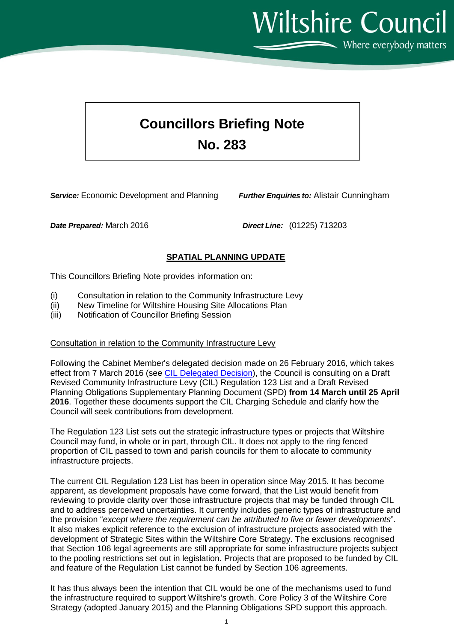Where everybody matters

**Wiltshire Council** 

# **Councillors Briefing Note No. 283**

*Service:* Economic Development and Planning *Further Enquiries to:* Alistair Cunningham

*Date Prepared:* March 2016 *Direct Line:* (01225) 713203

# **SPATIAL PLANNING UPDATE**

This Councillors Briefing Note provides information on:

- (i) Consultation in relation to the Community Infrastructure Levy<br>(ii) New Timeline for Wiltshire Housing Site Allocations Plan
- (ii) New Timeline for Wiltshire Housing Site Allocations Plan<br>(iii) Notification of Councillor Briefing Session
- Notification of Councillor Briefing Session

#### Consultation in relation to the Community Infrastructure Levy

Following the Cabinet Member's delegated decision made on 26 February 2016, which takes effect from 7 March 2016 (see [CIL Delegated Decision\)](http://moderngov.wiltshire.council/ieDecisionDetails.aspx?Id=1099), the Council is consulting on a Draft Revised Community Infrastructure Levy (CIL) Regulation 123 List and a Draft Revised Planning Obligations Supplementary Planning Document (SPD) **from 14 March until 25 April 2016**. Together these documents support the CIL Charging Schedule and clarify how the Council will seek contributions from development.

The Regulation 123 List sets out the strategic infrastructure types or projects that Wiltshire Council may fund, in whole or in part, through CIL. It does not apply to the ring fenced proportion of CIL passed to town and parish councils for them to allocate to community infrastructure projects.

The current CIL Regulation 123 List has been in operation since May 2015. It has become apparent, as development proposals have come forward, that the List would benefit from reviewing to provide clarity over those infrastructure projects that may be funded through CIL and to address perceived uncertainties. It currently includes generic types of infrastructure and the provision "*except where the requirement can be attributed to five or fewer developments*". It also makes explicit reference to the exclusion of infrastructure projects associated with the development of Strategic Sites within the Wiltshire Core Strategy. The exclusions recognised that Section 106 legal agreements are still appropriate for some infrastructure projects subject to the pooling restrictions set out in legislation. Projects that are proposed to be funded by CIL and feature of the Regulation List cannot be funded by Section 106 agreements.

It has thus always been the intention that CIL would be one of the mechanisms used to fund the infrastructure required to support Wiltshire's growth. Core Policy 3 of the Wiltshire Core Strategy (adopted January 2015) and the Planning Obligations SPD support this approach.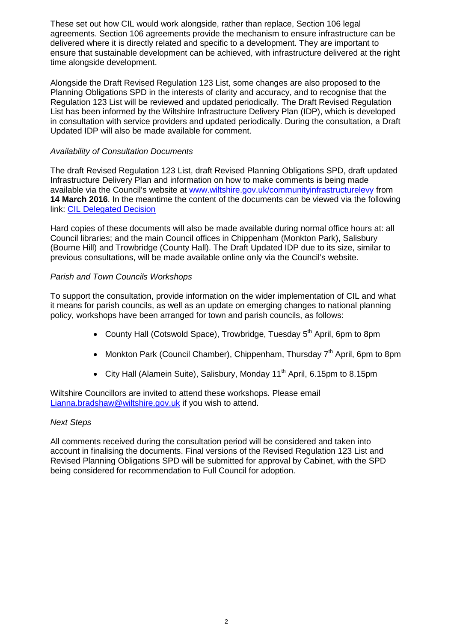These set out how CIL would work alongside, rather than replace, Section 106 legal agreements. Section 106 agreements provide the mechanism to ensure infrastructure can be delivered where it is directly related and specific to a development. They are important to ensure that sustainable development can be achieved, with infrastructure delivered at the right time alongside development.

Alongside the Draft Revised Regulation 123 List, some changes are also proposed to the Planning Obligations SPD in the interests of clarity and accuracy, and to recognise that the Regulation 123 List will be reviewed and updated periodically. The Draft Revised Regulation List has been informed by the Wiltshire Infrastructure Delivery Plan (IDP), which is developed in consultation with service providers and updated periodically. During the consultation, a Draft Updated IDP will also be made available for comment.

# *Availability of Consultation Documents*

The draft Revised Regulation 123 List, draft Revised Planning Obligations SPD, draft updated Infrastructure Delivery Plan and information on how to make comments is being made available via the Council's website at [www.wiltshire.gov.uk/communityinfrastructurelevy](http://www.wiltshire.gov.uk/communityinfrastructurelevy) from **14 March 2016**. In the meantime the content of the documents can be viewed via the following link: [CIL Delegated Decision](http://moderngov.wiltshire.council/ieDecisionDetails.aspx?Id=1099)

Hard copies of these documents will also be made available during normal office hours at: all Council libraries; and the main Council offices in Chippenham (Monkton Park), Salisbury (Bourne Hill) and Trowbridge (County Hall). The Draft Updated IDP due to its size, similar to previous consultations, will be made available online only via the Council's website.

# *Parish and Town Councils Workshops*

To support the consultation, provide information on the wider implementation of CIL and what it means for parish councils, as well as an update on emerging changes to national planning policy, workshops have been arranged for town and parish councils, as follows:

- County Hall (Cotswold Space), Trowbridge, Tuesday 5<sup>th</sup> April, 6pm to 8pm
- Monkton Park (Council Chamber), Chippenham, Thursday  $7<sup>th</sup>$  April, 6pm to 8pm
- City Hall (Alamein Suite), Salisbury, Monday 11<sup>th</sup> April, 6.15pm to 8.15pm

Wiltshire Councillors are invited to attend these workshops. Please email [Lianna.bradshaw@wiltshire.gov.uk](mailto:Lianna.bradshaw@wiltshire.gov.uk) if you wish to attend.

### *Next Steps*

All comments received during the consultation period will be considered and taken into account in finalising the documents. Final versions of the Revised Regulation 123 List and Revised Planning Obligations SPD will be submitted for approval by Cabinet, with the SPD being considered for recommendation to Full Council for adoption.